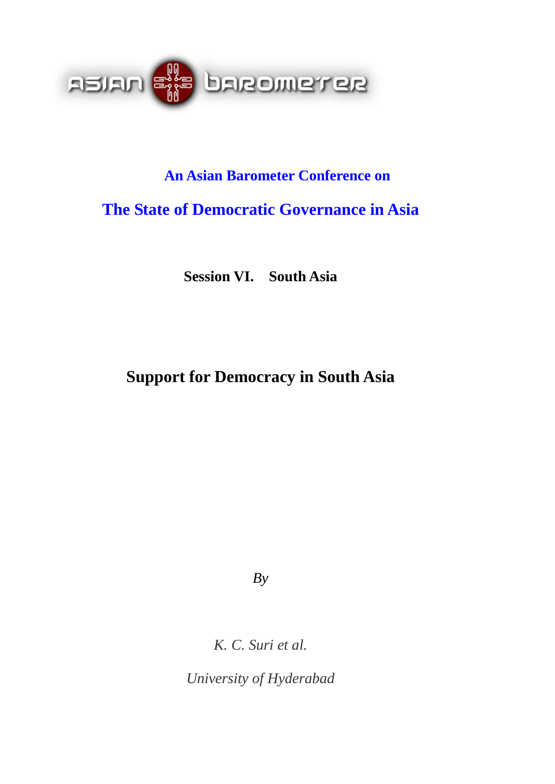

# **An Asian Barometer Conference on**

# **The State of Democratic Governance in Asia**

**Session VI. South Asia** 

# **Support for Democracy in South Asia**

*By* 

*K. C. Suri et al.* 

*University of Hyderabad*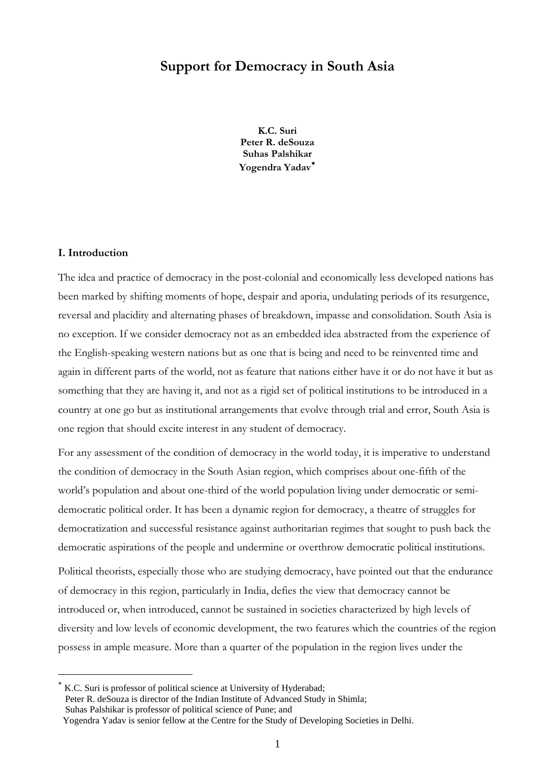# **Support for Democracy in South Asia**

**K.C. Suri Peter R. deSouza Suhas Palshikar Yogendra Yadav**[∗](#page-1-0)

## **I. Introduction**

 $\overline{a}$ 

The idea and practice of democracy in the post-colonial and economically less developed nations has been marked by shifting moments of hope, despair and aporia, undulating periods of its resurgence, reversal and placidity and alternating phases of breakdown, impasse and consolidation. South Asia is no exception. If we consider democracy not as an embedded idea abstracted from the experience of the English-speaking western nations but as one that is being and need to be reinvented time and again in different parts of the world, not as feature that nations either have it or do not have it but as something that they are having it, and not as a rigid set of political institutions to be introduced in a country at one go but as institutional arrangements that evolve through trial and error, South Asia is one region that should excite interest in any student of democracy.

For any assessment of the condition of democracy in the world today, it is imperative to understand the condition of democracy in the South Asian region, which comprises about one-fifth of the world's population and about one-third of the world population living under democratic or semidemocratic political order. It has been a dynamic region for democracy, a theatre of struggles for democratization and successful resistance against authoritarian regimes that sought to push back the democratic aspirations of the people and undermine or overthrow democratic political institutions.

Political theorists, especially those who are studying democracy, have pointed out that the endurance of democracy in this region, particularly in India, defies the view that democracy cannot be introduced or, when introduced, cannot be sustained in societies characterized by high levels of diversity and low levels of economic development, the two features which the countries of the region possess in ample measure. More than a quarter of the population in the region lives under the

<span id="page-1-0"></span>K.C. Suri is professor of political science at University of Hyderabad; Peter R. deSouza is director of the Indian Institute of Advanced Study in Shimla; Suhas Palshikar is professor of political science of Pune; and Yogendra Yadav is senior fellow at the Centre for the Study of Developing Societies in Delhi.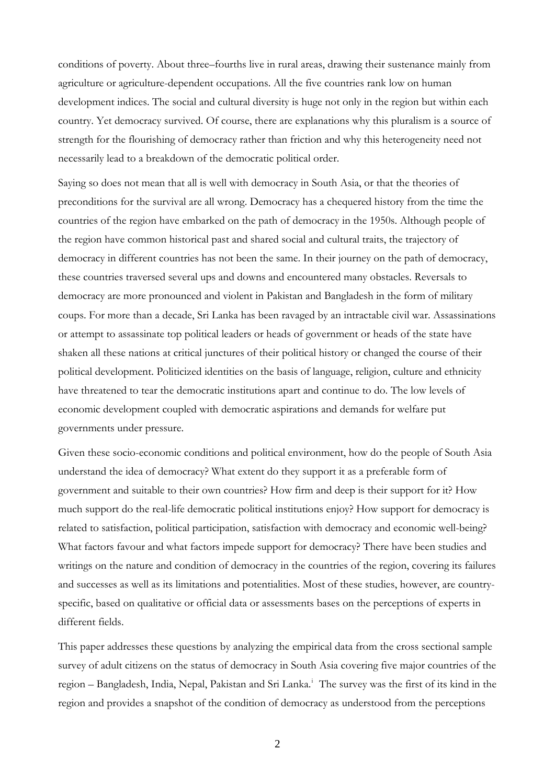conditions of poverty. About three–fourths live in rural areas, drawing their sustenance mainly from agriculture or agriculture-dependent occupations. All the five countries rank low on human development indices. The social and cultural diversity is huge not only in the region but within each country. Yet democracy survived. Of course, there are explanations why this pluralism is a source of strength for the flourishing of democracy rather than friction and why this heterogeneity need not necessarily lead to a breakdown of the democratic political order.

Saying so does not mean that all is well with democracy in South Asia, or that the theories of preconditions for the survival are all wrong. Democracy has a chequered history from the time the countries of the region have embarked on the path of democracy in the 1950s. Although people of the region have common historical past and shared social and cultural traits, the trajectory of democracy in different countries has not been the same. In their journey on the path of democracy, these countries traversed several ups and downs and encountered many obstacles. Reversals to democracy are more pronounced and violent in Pakistan and Bangladesh in the form of military coups. For more than a decade, Sri Lanka has been ravaged by an intractable civil war. Assassinations or attempt to assassinate top political leaders or heads of government or heads of the state have shaken all these nations at critical junctures of their political history or changed the course of their political development. Politicized identities on the basis of language, religion, culture and ethnicity have threatened to tear the democratic institutions apart and continue to do. The low levels of economic development coupled with democratic aspirations and demands for welfare put governments under pressure.

Given these socio-economic conditions and political environment, how do the people of South Asia understand the idea of democracy? What extent do they support it as a preferable form of government and suitable to their own countries? How firm and deep is their support for it? How much support do the real-life democratic political institutions enjoy? How support for democracy is related to satisfaction, political participation, satisfaction with democracy and economic well-being? What factors favour and what factors impede support for democracy? There have been studies and writings on the nature and condition of democracy in the countries of the region, covering its failures and successes as well as its limitations and potentialities. Most of these studies, however, are countryspecific, based on qualitative or official data or assessments bases on the perceptions of experts in different fields.

This paper addresses these questions by analyzing the empirical data from the cross sectional sample survey of adult citizens on the status of democracy in South Asia covering five major countries of the reg[i](#page-23-0)on – Bangladesh, India, Nepal, Pakistan and Sri Lanka.<sup>i</sup> The survey was the first of its kind in the region and provides a snapshot of the condition of democracy as understood from the perceptions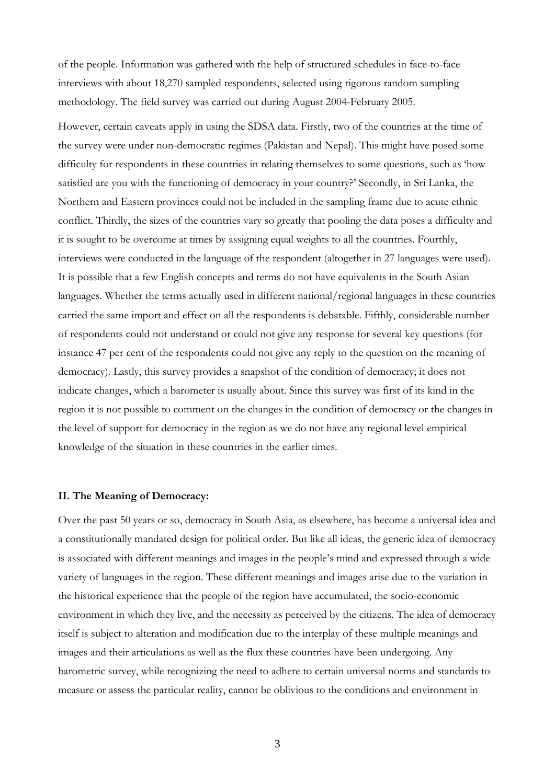of the people. Information was gathered with the help of structured schedules in face-to-face interviews with about 18,270 sampled respondents, selected using rigorous random sampling methodology. The field survey was carried out during August 2004-February 2005.

However, certain caveats apply in using the SDSA data. Firstly, two of the countries at the time of the survey were under non-democratic regimes (Pakistan and Nepal). This might have posed some difficulty for respondents in these countries in relating themselves to some questions, such as 'how satisfied are you with the functioning of democracy in your country?' Secondly, in Sri Lanka, the Northern and Eastern provinces could not be included in the sampling frame due to acute ethnic conflict. Thirdly, the sizes of the countries vary so greatly that pooling the data poses a difficulty and it is sought to be overcome at times by assigning equal weights to all the countries. Fourthly, interviews were conducted in the language of the respondent (altogether in 27 languages were used). It is possible that a few English concepts and terms do not have equivalents in the South Asian languages. Whether the terms actually used in different national/regional languages in these countries carried the same import and effect on all the respondents is debatable. Fifthly, considerable number of respondents could not understand or could not give any response for several key questions (for instance 47 per cent of the respondents could not give any reply to the question on the meaning of democracy). Lastly, this survey provides a snapshot of the condition of democracy; it does not indicate changes, which a barometer is usually about. Since this survey was first of its kind in the region it is not possible to comment on the changes in the condition of democracy or the changes in the level of support for democracy in the region as we do not have any regional level empirical knowledge of the situation in these countries in the earlier times.

## **II. The Meaning of Democracy:**

Over the past 50 years or so, democracy in South Asia, as elsewhere, has become a universal idea and a constitutionally mandated design for political order. But like all ideas, the generic idea of democracy is associated with different meanings and images in the people's mind and expressed through a wide variety of languages in the region. These different meanings and images arise due to the variation in the historical experience that the people of the region have accumulated, the socio-economic environment in which they live, and the necessity as perceived by the citizens. The idea of democracy itself is subject to alteration and modification due to the interplay of these multiple meanings and images and their articulations as well as the flux these countries have been undergoing. Any barometric survey, while recognizing the need to adhere to certain universal norms and standards to measure or assess the particular reality, cannot be oblivious to the conditions and environment in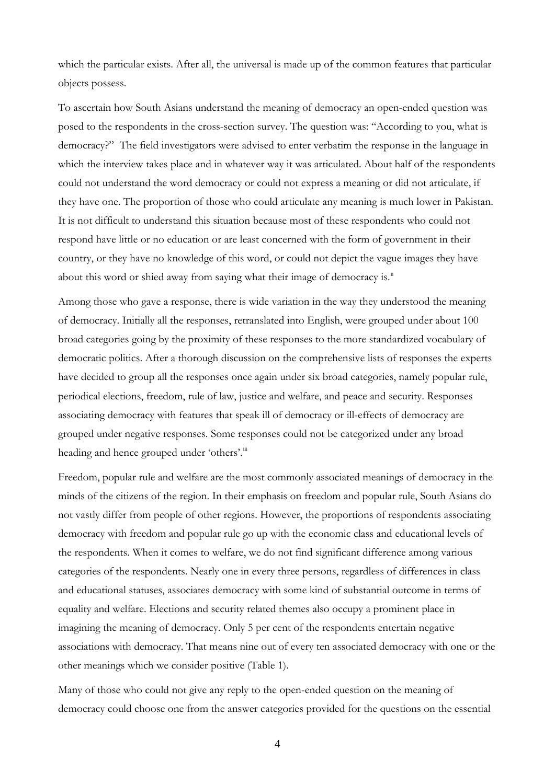which the particular exists. After all, the universal is made up of the common features that particular objects possess.

To ascertain how South Asians understand the meaning of democracy an open-ended question was posed to the respondents in the cross-section survey. The question was: "According to you, what is democracy?" The field investigators were advised to enter verbatim the response in the language in which the interview takes place and in whatever way it was articulated. About half of the respondents could not understand the word democracy or could not express a meaning or did not articulate, if they have one. The proportion of those who could articulate any meaning is much lower in Pakistan. It is not difficult to understand this situation because most of these respondents who could not respond have little or no education or are least concerned with the form of government in their country, or they have no knowledge of this word, or could not depict the vague images they have about this word or shied away from saying what their image of democracy is.<sup>"</sup>

Among those who gave a response, there is wide variation in the way they understood the meaning of democracy. Initially all the responses, retranslated into English, were grouped under about 100 broad categories going by the proximity of these responses to the more standardized vocabulary of democratic politics. After a thorough discussion on the comprehensive lists of responses the experts have decided to group all the responses once again under six broad categories, namely popular rule, periodical elections, freedom, rule of law, justice and welfare, and peace and security. Responses associating democracy with features that speak ill of democracy or ill-effects of democracy are grouped under negative responses. Some responses could not be categorized under any broad heading and hence grouped under 'others'.<sup>[iii](#page-23-1)</sup>

Freedom, popular rule and welfare are the most commonly associated meanings of democracy in the minds of the citizens of the region. In their emphasis on freedom and popular rule, South Asians do not vastly differ from people of other regions. However, the proportions of respondents associating democracy with freedom and popular rule go up with the economic class and educational levels of the respondents. When it comes to welfare, we do not find significant difference among various categories of the respondents. Nearly one in every three persons, regardless of differences in class and educational statuses, associates democracy with some kind of substantial outcome in terms of equality and welfare. Elections and security related themes also occupy a prominent place in imagining the meaning of democracy. Only 5 per cent of the respondents entertain negative associations with democracy. That means nine out of every ten associated democracy with one or the other meanings which we consider positive (Table 1).

Many of those who could not give any reply to the open-ended question on the meaning of democracy could choose one from the answer categories provided for the questions on the essential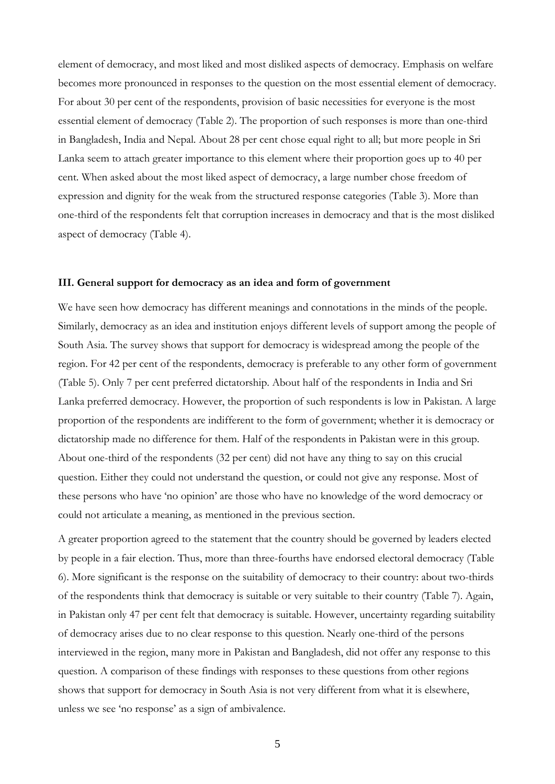element of democracy, and most liked and most disliked aspects of democracy. Emphasis on welfare becomes more pronounced in responses to the question on the most essential element of democracy. For about 30 per cent of the respondents, provision of basic necessities for everyone is the most essential element of democracy (Table 2). The proportion of such responses is more than one-third in Bangladesh, India and Nepal. About 28 per cent chose equal right to all; but more people in Sri Lanka seem to attach greater importance to this element where their proportion goes up to 40 per cent. When asked about the most liked aspect of democracy, a large number chose freedom of expression and dignity for the weak from the structured response categories (Table 3). More than one-third of the respondents felt that corruption increases in democracy and that is the most disliked aspect of democracy (Table 4).

## **III. General support for democracy as an idea and form of government**

We have seen how democracy has different meanings and connotations in the minds of the people. Similarly, democracy as an idea and institution enjoys different levels of support among the people of South Asia. The survey shows that support for democracy is widespread among the people of the region. For 42 per cent of the respondents, democracy is preferable to any other form of government (Table 5). Only 7 per cent preferred dictatorship. About half of the respondents in India and Sri Lanka preferred democracy. However, the proportion of such respondents is low in Pakistan. A large proportion of the respondents are indifferent to the form of government; whether it is democracy or dictatorship made no difference for them. Half of the respondents in Pakistan were in this group. About one-third of the respondents (32 per cent) did not have any thing to say on this crucial question. Either they could not understand the question, or could not give any response. Most of these persons who have 'no opinion' are those who have no knowledge of the word democracy or could not articulate a meaning, as mentioned in the previous section.

A greater proportion agreed to the statement that the country should be governed by leaders elected by people in a fair election. Thus, more than three-fourths have endorsed electoral democracy (Table 6). More significant is the response on the suitability of democracy to their country: about two-thirds of the respondents think that democracy is suitable or very suitable to their country (Table 7). Again, in Pakistan only 47 per cent felt that democracy is suitable. However, uncertainty regarding suitability of democracy arises due to no clear response to this question. Nearly one-third of the persons interviewed in the region, many more in Pakistan and Bangladesh, did not offer any response to this question. A comparison of these findings with responses to these questions from other regions shows that support for democracy in South Asia is not very different from what it is elsewhere, unless we see 'no response' as a sign of ambivalence.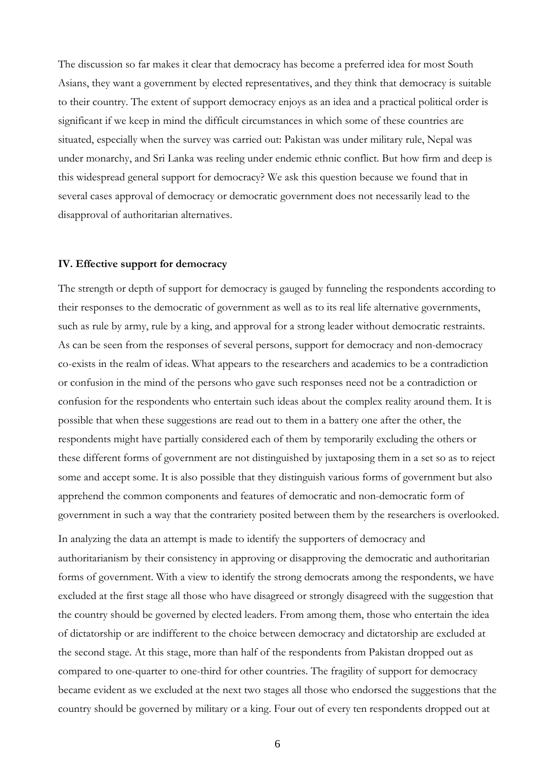The discussion so far makes it clear that democracy has become a preferred idea for most South Asians, they want a government by elected representatives, and they think that democracy is suitable to their country. The extent of support democracy enjoys as an idea and a practical political order is significant if we keep in mind the difficult circumstances in which some of these countries are situated, especially when the survey was carried out: Pakistan was under military rule, Nepal was under monarchy, and Sri Lanka was reeling under endemic ethnic conflict. But how firm and deep is this widespread general support for democracy? We ask this question because we found that in several cases approval of democracy or democratic government does not necessarily lead to the disapproval of authoritarian alternatives.

### **IV. Effective support for democracy**

The strength or depth of support for democracy is gauged by funneling the respondents according to their responses to the democratic of government as well as to its real life alternative governments, such as rule by army, rule by a king, and approval for a strong leader without democratic restraints. As can be seen from the responses of several persons, support for democracy and non-democracy co-exists in the realm of ideas. What appears to the researchers and academics to be a contradiction or confusion in the mind of the persons who gave such responses need not be a contradiction or confusion for the respondents who entertain such ideas about the complex reality around them. It is possible that when these suggestions are read out to them in a battery one after the other, the respondents might have partially considered each of them by temporarily excluding the others or these different forms of government are not distinguished by juxtaposing them in a set so as to reject some and accept some. It is also possible that they distinguish various forms of government but also apprehend the common components and features of democratic and non-democratic form of government in such a way that the contrariety posited between them by the researchers is overlooked.

In analyzing the data an attempt is made to identify the supporters of democracy and authoritarianism by their consistency in approving or disapproving the democratic and authoritarian forms of government. With a view to identify the strong democrats among the respondents, we have excluded at the first stage all those who have disagreed or strongly disagreed with the suggestion that the country should be governed by elected leaders. From among them, those who entertain the idea of dictatorship or are indifferent to the choice between democracy and dictatorship are excluded at the second stage. At this stage, more than half of the respondents from Pakistan dropped out as compared to one-quarter to one-third for other countries. The fragility of support for democracy became evident as we excluded at the next two stages all those who endorsed the suggestions that the country should be governed by military or a king. Four out of every ten respondents dropped out at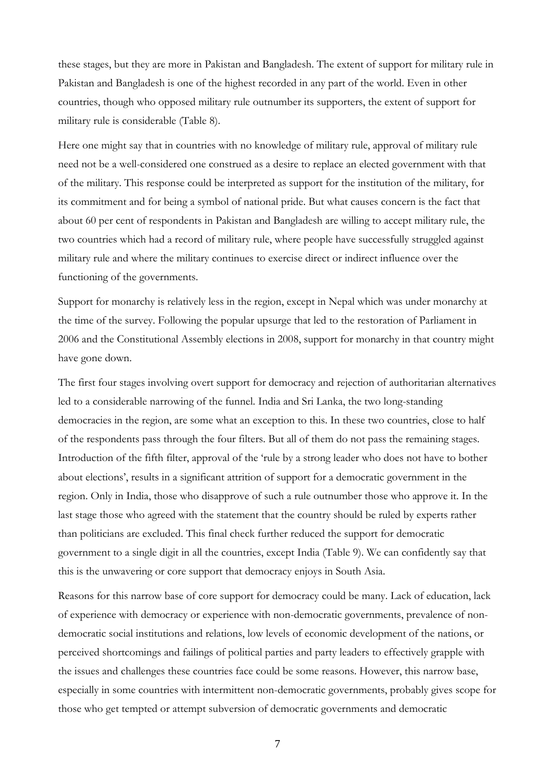these stages, but they are more in Pakistan and Bangladesh. The extent of support for military rule in Pakistan and Bangladesh is one of the highest recorded in any part of the world. Even in other countries, though who opposed military rule outnumber its supporters, the extent of support for military rule is considerable (Table 8).

Here one might say that in countries with no knowledge of military rule, approval of military rule need not be a well-considered one construed as a desire to replace an elected government with that of the military. This response could be interpreted as support for the institution of the military, for its commitment and for being a symbol of national pride. But what causes concern is the fact that about 60 per cent of respondents in Pakistan and Bangladesh are willing to accept military rule, the two countries which had a record of military rule, where people have successfully struggled against military rule and where the military continues to exercise direct or indirect influence over the functioning of the governments.

Support for monarchy is relatively less in the region, except in Nepal which was under monarchy at the time of the survey. Following the popular upsurge that led to the restoration of Parliament in 2006 and the Constitutional Assembly elections in 2008, support for monarchy in that country might have gone down.

The first four stages involving overt support for democracy and rejection of authoritarian alternatives led to a considerable narrowing of the funnel. India and Sri Lanka, the two long-standing democracies in the region, are some what an exception to this. In these two countries, close to half of the respondents pass through the four filters. But all of them do not pass the remaining stages. Introduction of the fifth filter, approval of the 'rule by a strong leader who does not have to bother about elections', results in a significant attrition of support for a democratic government in the region. Only in India, those who disapprove of such a rule outnumber those who approve it. In the last stage those who agreed with the statement that the country should be ruled by experts rather than politicians are excluded. This final check further reduced the support for democratic government to a single digit in all the countries, except India (Table 9). We can confidently say that this is the unwavering or core support that democracy enjoys in South Asia.

Reasons for this narrow base of core support for democracy could be many. Lack of education, lack of experience with democracy or experience with non-democratic governments, prevalence of nondemocratic social institutions and relations, low levels of economic development of the nations, or perceived shortcomings and failings of political parties and party leaders to effectively grapple with the issues and challenges these countries face could be some reasons. However, this narrow base, especially in some countries with intermittent non-democratic governments, probably gives scope for those who get tempted or attempt subversion of democratic governments and democratic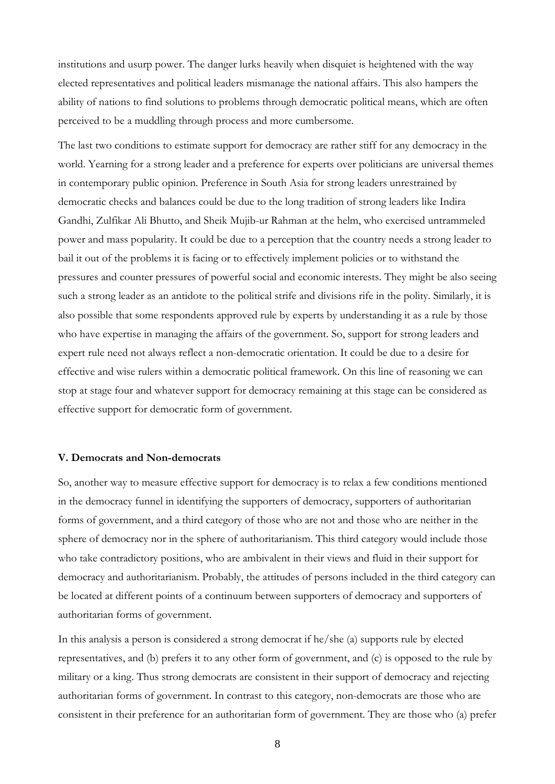institutions and usurp power. The danger lurks heavily when disquiet is heightened with the way elected representatives and political leaders mismanage the national affairs. This also hampers the ability of nations to find solutions to problems through democratic political means, which are often perceived to be a muddling through process and more cumbersome.

The last two conditions to estimate support for democracy are rather stiff for any democracy in the world. Yearning for a strong leader and a preference for experts over politicians are universal themes in contemporary public opinion. Preference in South Asia for strong leaders unrestrained by democratic checks and balances could be due to the long tradition of strong leaders like Indira Gandhi, Zulfikar Ali Bhutto, and Sheik Mujib-ur Rahman at the helm, who exercised untrammeled power and mass popularity. It could be due to a perception that the country needs a strong leader to bail it out of the problems it is facing or to effectively implement policies or to withstand the pressures and counter pressures of powerful social and economic interests. They might be also seeing such a strong leader as an antidote to the political strife and divisions rife in the polity. Similarly, it is also possible that some respondents approved rule by experts by understanding it as a rule by those who have expertise in managing the affairs of the government. So, support for strong leaders and expert rule need not always reflect a non-democratic orientation. It could be due to a desire for effective and wise rulers within a democratic political framework. On this line of reasoning we can stop at stage four and whatever support for democracy remaining at this stage can be considered as effective support for democratic form of government.

## **V. Democrats and Non-democrats**

So, another way to measure effective support for democracy is to relax a few conditions mentioned in the democracy funnel in identifying the supporters of democracy, supporters of authoritarian forms of government, and a third category of those who are not and those who are neither in the sphere of democracy nor in the sphere of authoritarianism. This third category would include those who take contradictory positions, who are ambivalent in their views and fluid in their support for democracy and authoritarianism. Probably, the attitudes of persons included in the third category can be located at different points of a continuum between supporters of democracy and supporters of authoritarian forms of government.

In this analysis a person is considered a strong democrat if he/she (a) supports rule by elected representatives, and (b) prefers it to any other form of government, and (c) is opposed to the rule by military or a king. Thus strong democrats are consistent in their support of democracy and rejecting authoritarian forms of government. In contrast to this category, non-democrats are those who are consistent in their preference for an authoritarian form of government. They are those who (a) prefer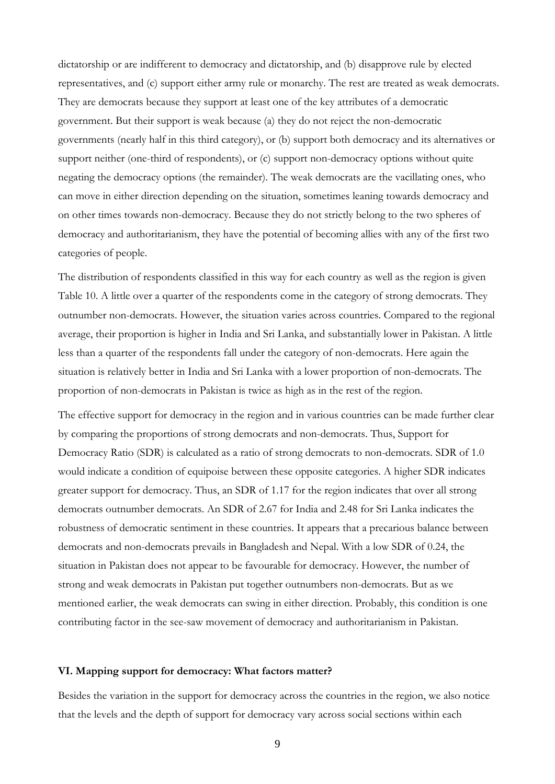dictatorship or are indifferent to democracy and dictatorship, and (b) disapprove rule by elected representatives, and (c) support either army rule or monarchy. The rest are treated as weak democrats. They are democrats because they support at least one of the key attributes of a democratic government. But their support is weak because (a) they do not reject the non-democratic governments (nearly half in this third category), or (b) support both democracy and its alternatives or support neither (one-third of respondents), or (c) support non-democracy options without quite negating the democracy options (the remainder). The weak democrats are the vacillating ones, who can move in either direction depending on the situation, sometimes leaning towards democracy and on other times towards non-democracy. Because they do not strictly belong to the two spheres of democracy and authoritarianism, they have the potential of becoming allies with any of the first two categories of people.

The distribution of respondents classified in this way for each country as well as the region is given Table 10. A little over a quarter of the respondents come in the category of strong democrats. They outnumber non-democrats. However, the situation varies across countries. Compared to the regional average, their proportion is higher in India and Sri Lanka, and substantially lower in Pakistan. A little less than a quarter of the respondents fall under the category of non-democrats. Here again the situation is relatively better in India and Sri Lanka with a lower proportion of non-democrats. The proportion of non-democrats in Pakistan is twice as high as in the rest of the region.

The effective support for democracy in the region and in various countries can be made further clear by comparing the proportions of strong democrats and non-democrats. Thus, Support for Democracy Ratio (SDR) is calculated as a ratio of strong democrats to non-democrats. SDR of 1.0 would indicate a condition of equipoise between these opposite categories. A higher SDR indicates greater support for democracy. Thus, an SDR of 1.17 for the region indicates that over all strong democrats outnumber democrats. An SDR of 2.67 for India and 2.48 for Sri Lanka indicates the robustness of democratic sentiment in these countries. It appears that a precarious balance between democrats and non-democrats prevails in Bangladesh and Nepal. With a low SDR of 0.24, the situation in Pakistan does not appear to be favourable for democracy. However, the number of strong and weak democrats in Pakistan put together outnumbers non-democrats. But as we mentioned earlier, the weak democrats can swing in either direction. Probably, this condition is one contributing factor in the see-saw movement of democracy and authoritarianism in Pakistan.

### **VI. Mapping support for democracy: What factors matter?**

Besides the variation in the support for democracy across the countries in the region, we also notice that the levels and the depth of support for democracy vary across social sections within each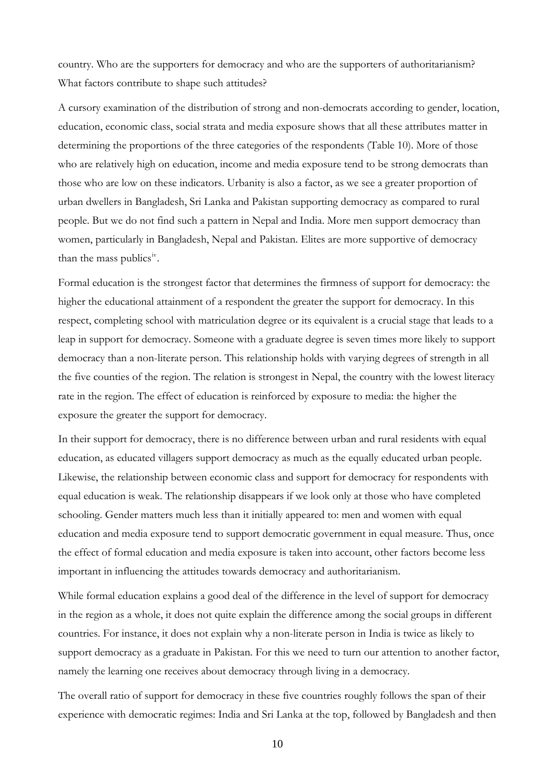country. Who are the supporters for democracy and who are the supporters of authoritarianism? What factors contribute to shape such attitudes?

A cursory examination of the distribution of strong and non-democrats according to gender, location, education, economic class, social strata and media exposure shows that all these attributes matter in determining the proportions of the three categories of the respondents (Table 10). More of those who are relatively high on education, income and media exposure tend to be strong democrats than those who are low on these indicators. Urbanity is also a factor, as we see a greater proportion of urban dwellers in Bangladesh, Sri Lanka and Pakistan supporting democracy as compared to rural people. But we do not find such a pattern in Nepal and India. More men support democracy than women, particularly in Bangladesh, Nepal and Pakistan. Elites are more supportive of democracy than the mass publics<sup>[iv](#page-23-1)</sup>.

Formal education is the strongest factor that determines the firmness of support for democracy: the higher the educational attainment of a respondent the greater the support for democracy. In this respect, completing school with matriculation degree or its equivalent is a crucial stage that leads to a leap in support for democracy. Someone with a graduate degree is seven times more likely to support democracy than a non-literate person. This relationship holds with varying degrees of strength in all the five counties of the region. The relation is strongest in Nepal, the country with the lowest literacy rate in the region. The effect of education is reinforced by exposure to media: the higher the exposure the greater the support for democracy.

In their support for democracy, there is no difference between urban and rural residents with equal education, as educated villagers support democracy as much as the equally educated urban people. Likewise, the relationship between economic class and support for democracy for respondents with equal education is weak. The relationship disappears if we look only at those who have completed schooling. Gender matters much less than it initially appeared to: men and women with equal education and media exposure tend to support democratic government in equal measure. Thus, once the effect of formal education and media exposure is taken into account, other factors become less important in influencing the attitudes towards democracy and authoritarianism.

While formal education explains a good deal of the difference in the level of support for democracy in the region as a whole, it does not quite explain the difference among the social groups in different countries. For instance, it does not explain why a non-literate person in India is twice as likely to support democracy as a graduate in Pakistan. For this we need to turn our attention to another factor, namely the learning one receives about democracy through living in a democracy.

The overall ratio of support for democracy in these five countries roughly follows the span of their experience with democratic regimes: India and Sri Lanka at the top, followed by Bangladesh and then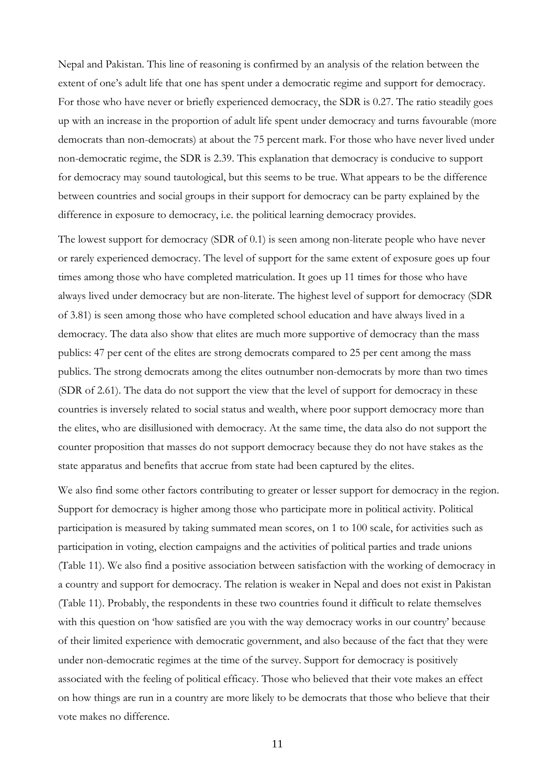Nepal and Pakistan. This line of reasoning is confirmed by an analysis of the relation between the extent of one's adult life that one has spent under a democratic regime and support for democracy. For those who have never or briefly experienced democracy, the SDR is 0.27. The ratio steadily goes up with an increase in the proportion of adult life spent under democracy and turns favourable (more democrats than non-democrats) at about the 75 percent mark. For those who have never lived under non-democratic regime, the SDR is 2.39. This explanation that democracy is conducive to support for democracy may sound tautological, but this seems to be true. What appears to be the difference between countries and social groups in their support for democracy can be party explained by the difference in exposure to democracy, i.e. the political learning democracy provides.

The lowest support for democracy (SDR of 0.1) is seen among non-literate people who have never or rarely experienced democracy. The level of support for the same extent of exposure goes up four times among those who have completed matriculation. It goes up 11 times for those who have always lived under democracy but are non-literate. The highest level of support for democracy (SDR of 3.81) is seen among those who have completed school education and have always lived in a democracy. The data also show that elites are much more supportive of democracy than the mass publics: 47 per cent of the elites are strong democrats compared to 25 per cent among the mass publics. The strong democrats among the elites outnumber non-democrats by more than two times (SDR of 2.61). The data do not support the view that the level of support for democracy in these countries is inversely related to social status and wealth, where poor support democracy more than the elites, who are disillusioned with democracy. At the same time, the data also do not support the counter proposition that masses do not support democracy because they do not have stakes as the state apparatus and benefits that accrue from state had been captured by the elites.

We also find some other factors contributing to greater or lesser support for democracy in the region. Support for democracy is higher among those who participate more in political activity. Political participation is measured by taking summated mean scores, on 1 to 100 scale, for activities such as participation in voting, election campaigns and the activities of political parties and trade unions (Table 11). We also find a positive association between satisfaction with the working of democracy in a country and support for democracy. The relation is weaker in Nepal and does not exist in Pakistan (Table 11). Probably, the respondents in these two countries found it difficult to relate themselves with this question on 'how satisfied are you with the way democracy works in our country' because of their limited experience with democratic government, and also because of the fact that they were under non-democratic regimes at the time of the survey. Support for democracy is positively associated with the feeling of political efficacy. Those who believed that their vote makes an effect on how things are run in a country are more likely to be democrats that those who believe that their vote makes no difference.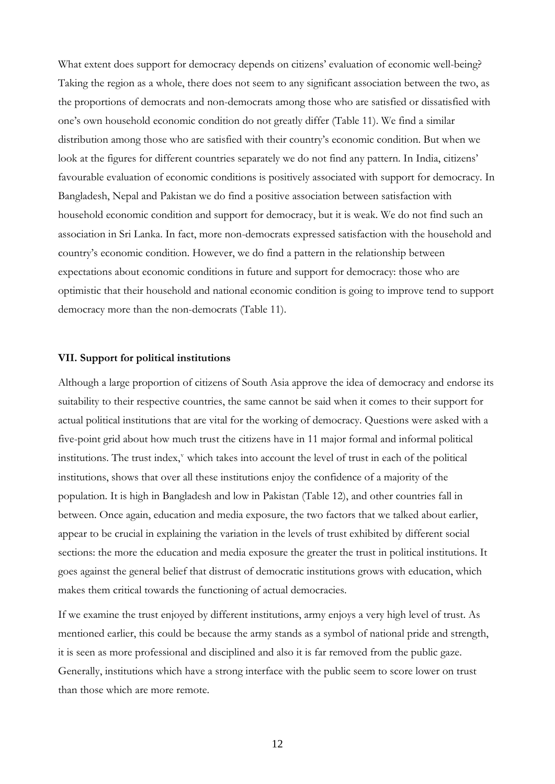What extent does support for democracy depends on citizens' evaluation of economic well-being? Taking the region as a whole, there does not seem to any significant association between the two, as the proportions of democrats and non-democrats among those who are satisfied or dissatisfied with one's own household economic condition do not greatly differ (Table 11). We find a similar distribution among those who are satisfied with their country's economic condition. But when we look at the figures for different countries separately we do not find any pattern. In India, citizens' favourable evaluation of economic conditions is positively associated with support for democracy. In Bangladesh, Nepal and Pakistan we do find a positive association between satisfaction with household economic condition and support for democracy, but it is weak. We do not find such an association in Sri Lanka. In fact, more non-democrats expressed satisfaction with the household and country's economic condition. However, we do find a pattern in the relationship between expectations about economic conditions in future and support for democracy: those who are optimistic that their household and national economic condition is going to improve tend to support democracy more than the non-democrats (Table 11).

### **VII. Support for political institutions**

Although a large proportion of citizens of South Asia approve the idea of democracy and endorse its suitability to their respective countries, the same cannot be said when it comes to their support for actual political institutions that are vital for the working of democracy. Questions were asked with a five-point grid about how much trust the citizens have in 11 major formal and informal political institutions. The trust index," which takes into account the le[v](#page-23-1)el of trust in each of the political institutions, shows that over all these institutions enjoy the confidence of a majority of the population. It is high in Bangladesh and low in Pakistan (Table 12), and other countries fall in between. Once again, education and media exposure, the two factors that we talked about earlier, appear to be crucial in explaining the variation in the levels of trust exhibited by different social sections: the more the education and media exposure the greater the trust in political institutions. It goes against the general belief that distrust of democratic institutions grows with education, which makes them critical towards the functioning of actual democracies.

If we examine the trust enjoyed by different institutions, army enjoys a very high level of trust. As mentioned earlier, this could be because the army stands as a symbol of national pride and strength, it is seen as more professional and disciplined and also it is far removed from the public gaze. Generally, institutions which have a strong interface with the public seem to score lower on trust than those which are more remote.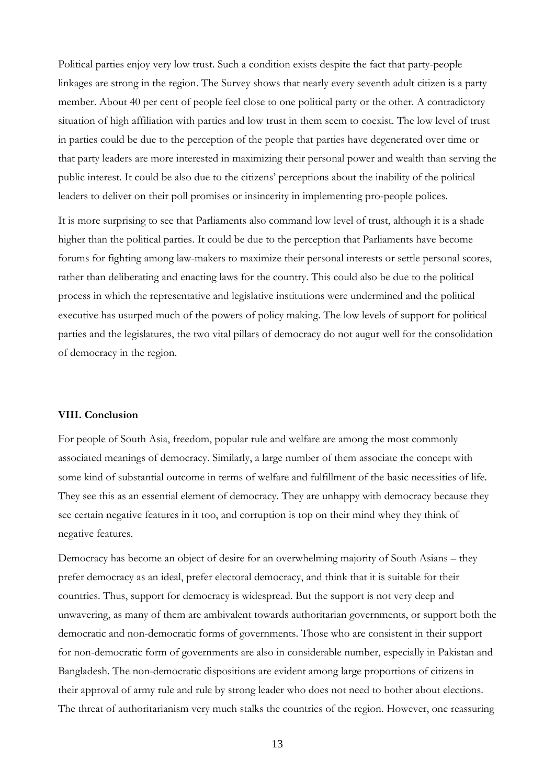Political parties enjoy very low trust. Such a condition exists despite the fact that party-people linkages are strong in the region. The Survey shows that nearly every seventh adult citizen is a party member. About 40 per cent of people feel close to one political party or the other. A contradictory situation of high affiliation with parties and low trust in them seem to coexist. The low level of trust in parties could be due to the perception of the people that parties have degenerated over time or that party leaders are more interested in maximizing their personal power and wealth than serving the public interest. It could be also due to the citizens' perceptions about the inability of the political leaders to deliver on their poll promises or insincerity in implementing pro-people polices.

It is more surprising to see that Parliaments also command low level of trust, although it is a shade higher than the political parties. It could be due to the perception that Parliaments have become forums for fighting among law-makers to maximize their personal interests or settle personal scores, rather than deliberating and enacting laws for the country. This could also be due to the political process in which the representative and legislative institutions were undermined and the political executive has usurped much of the powers of policy making. The low levels of support for political parties and the legislatures, the two vital pillars of democracy do not augur well for the consolidation of democracy in the region.

## **VIII. Conclusion**

For people of South Asia, freedom, popular rule and welfare are among the most commonly associated meanings of democracy. Similarly, a large number of them associate the concept with some kind of substantial outcome in terms of welfare and fulfillment of the basic necessities of life. They see this as an essential element of democracy. They are unhappy with democracy because they see certain negative features in it too, and corruption is top on their mind whey they think of negative features.

Democracy has become an object of desire for an overwhelming majority of South Asians – they prefer democracy as an ideal, prefer electoral democracy, and think that it is suitable for their countries. Thus, support for democracy is widespread. But the support is not very deep and unwavering, as many of them are ambivalent towards authoritarian governments, or support both the democratic and non-democratic forms of governments. Those who are consistent in their support for non-democratic form of governments are also in considerable number, especially in Pakistan and Bangladesh. The non-democratic dispositions are evident among large proportions of citizens in their approval of army rule and rule by strong leader who does not need to bother about elections. The threat of authoritarianism very much stalks the countries of the region. However, one reassuring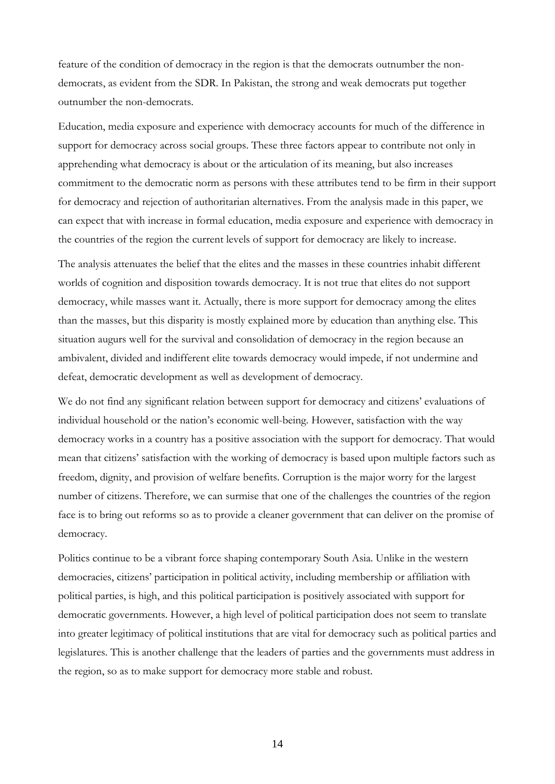feature of the condition of democracy in the region is that the democrats outnumber the nondemocrats, as evident from the SDR. In Pakistan, the strong and weak democrats put together outnumber the non-democrats.

Education, media exposure and experience with democracy accounts for much of the difference in support for democracy across social groups. These three factors appear to contribute not only in apprehending what democracy is about or the articulation of its meaning, but also increases commitment to the democratic norm as persons with these attributes tend to be firm in their support for democracy and rejection of authoritarian alternatives. From the analysis made in this paper, we can expect that with increase in formal education, media exposure and experience with democracy in the countries of the region the current levels of support for democracy are likely to increase.

The analysis attenuates the belief that the elites and the masses in these countries inhabit different worlds of cognition and disposition towards democracy. It is not true that elites do not support democracy, while masses want it. Actually, there is more support for democracy among the elites than the masses, but this disparity is mostly explained more by education than anything else. This situation augurs well for the survival and consolidation of democracy in the region because an ambivalent, divided and indifferent elite towards democracy would impede, if not undermine and defeat, democratic development as well as development of democracy.

We do not find any significant relation between support for democracy and citizens' evaluations of individual household or the nation's economic well-being. However, satisfaction with the way democracy works in a country has a positive association with the support for democracy. That would mean that citizens' satisfaction with the working of democracy is based upon multiple factors such as freedom, dignity, and provision of welfare benefits. Corruption is the major worry for the largest number of citizens. Therefore, we can surmise that one of the challenges the countries of the region face is to bring out reforms so as to provide a cleaner government that can deliver on the promise of democracy.

Politics continue to be a vibrant force shaping contemporary South Asia. Unlike in the western democracies, citizens' participation in political activity, including membership or affiliation with political parties, is high, and this political participation is positively associated with support for democratic governments. However, a high level of political participation does not seem to translate into greater legitimacy of political institutions that are vital for democracy such as political parties and legislatures. This is another challenge that the leaders of parties and the governments must address in the region, so as to make support for democracy more stable and robust.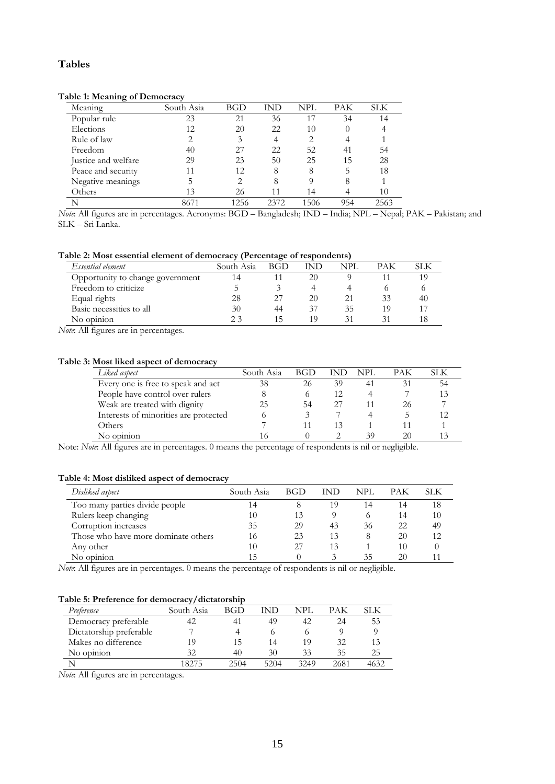## **Tables**

### **Table 1: Meaning of Democracy**

| $\epsilon$          |            |      |      |      |     |      |
|---------------------|------------|------|------|------|-----|------|
| Meaning             | South Asia | BGD  | IND  | NPL  | PAK | SLK  |
| Popular rule        | 23         | 21   | 36   |      | 34  |      |
| Elections           | 12         | 20   | 22   | 10   |     |      |
| Rule of law         | 2          | 3    |      |      |     |      |
| Freedom             | 40         | 27   | 22   | 52   | 41  | 54   |
| Justice and welfare | 29         | 23   | 50   | 25   | 15  | 28   |
| Peace and security  | 11         | 12   | 8    | 8    |     | 18   |
| Negative meanings   | ל          |      | 8    |      | 8   |      |
| Others              | 13         | 26   |      | 14   |     | 10   |
|                     | 8671       | 1256 | 2372 | -506 | 954 | 2563 |

*Note*: All figures are in percentages. Acronyms: BGD – Bangladesh; IND – India; NPL – Nepal; PAK – Pakistan; and SLK – Sri Lanka.

#### **Table 2: Most essential element of democracy (Percentage of respondents)**

| Essential element                | South Asia | <b>BGD</b> | IND | NPI | PAK |    |
|----------------------------------|------------|------------|-----|-----|-----|----|
| Opportunity to change government | 14         |            | 20  |     |     |    |
| Freedom to criticize             |            |            |     |     |     |    |
| Equal rights                     | 28         | 27         | 20  |     | 33  | 40 |
| Basic necessities to all         | 30         | 44         | 37  | 35  | 19  |    |
| No opinion                       | 23         |            | 19  | K.  |     |    |

*Note*: All figures are in percentages.

## **Table 3: Most liked aspect of democracy**

| Liked aspect                          | South Asia | BGD |    | NPL. | PAK | SLK. |  |
|---------------------------------------|------------|-----|----|------|-----|------|--|
| Every one is free to speak and act    | 38         | 26  | 39 |      |     | 54   |  |
| People have control over rulers       | 8          |     |    |      |     | 13   |  |
| Weak are treated with dignity         | 25         | 54  |    |      | 26  |      |  |
| Interests of minorities are protected |            |     |    |      |     |      |  |
| Others                                |            |     | 13 |      |     |      |  |
| No opinion                            | ۱6         |     |    | 39   |     |      |  |

Note: *Note*: All figures are in percentages. 0 means the percentage of respondents is nil or negligible.

#### **Table 4: Most disliked aspect of democracy**

| Disliked aspect                     | South Asia | BGD | IND | NPL | PAK | SLK |
|-------------------------------------|------------|-----|-----|-----|-----|-----|
| Too many parties divide people      | 14         |     | 19  | 14  | 14  | 18  |
| Rulers keep changing                | 10         | 13  |     |     | 14  | 10  |
| Corruption increases                | 35         | 29  | 43  | 36  | 22  | 49  |
| Those who have more dominate others | 16         | 23  | 13  |     | 20  | 12  |
| Any other                           | 10         | 27  | 13  |     | 10  |     |
| No opinion                          | 15         |     |     | 35  | 20  |     |

*Note*: All figures are in percentages. 0 means the percentage of respondents is nil or negligible.

## **Table 5: Preference for democracy/dictatorship**

| Preference              | South Asia | BGD  | IND  | NPL  | PAK  | SLK  |
|-------------------------|------------|------|------|------|------|------|
| Democracy preferable    |            |      | 49   | 42   | 24   | 53   |
| Dictatorship preferable |            |      |      |      |      |      |
| Makes no difference     | 19         | 15   | 14   | 19   | 32   | 13   |
| No opinion              | 32         | 40   | 30   | 33   | 35   | 25   |
|                         | 18275      | 2504 | 5204 | 3249 | 2681 | 4632 |

*Note*: All figures are in percentages.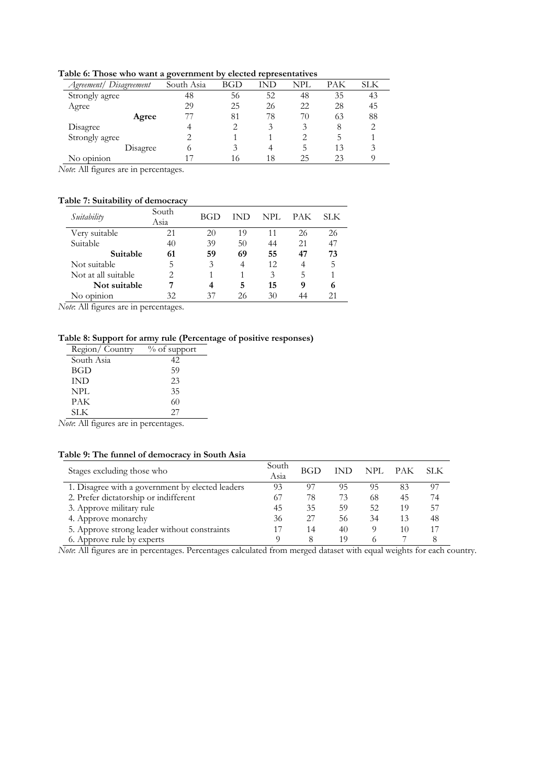**Table 6: Those who want a government by elected representatives** 

| $\cdot$    |     |     |            |     |     |
|------------|-----|-----|------------|-----|-----|
| South Asia | BGD | IND | <b>NPL</b> | РАК | SLK |
| 48         | 56  | 52  | 48         | 35  | 43  |
| 29         | 25  | 26  | 22         | 28  | 45  |
|            | 81  | 78  | 70         | 63  | 88  |
|            |     | 3   | 3          | 8   |     |
|            |     |     |            |     |     |
| Disagree   |     |     | כ.         | 13  |     |
|            | 16  | 18  | 25         | 23  |     |
|            |     |     |            |     |     |

*Note*: All figures are in percentages.

## **Table 7: Suitability of democracy**

| Suitability         | South<br>Asia | BGD | IND | NPL. | <b>PAK</b> | SLK. |
|---------------------|---------------|-----|-----|------|------------|------|
| Very suitable       | 21            | 20  | 19  | 11   | 26         | 26   |
| Suitable            | 40            | 39  | 50  | 44   | 21         | 47   |
| Suitable            | 61            | 59  | 69  | 55   | 47         | 73   |
| Not suitable        | 5             | 3   | 4   | 12   | 4          | 5    |
| Not at all suitable | 2             |     |     | 3    | 5          |      |
| Not suitable        |               |     | 5   | 15   | 9          | 6    |
| No opinion          | 32            | 37  | 26  | 30   | 44         |      |

*Note*: All figures are in percentages.

## **Table 8: Support for army rule (Percentage of positive responses)**

| Region/Country | $\%$ of support |
|----------------|-----------------|
| South Asia     | 42              |
| BGD            | 59              |
| IND            | 23              |
| NPL            | 35              |
| PAK            | 60              |
| SLK.           | 27              |

*Note*: All figures are in percentages.

### **Table 9: The funnel of democracy in South Asia**

| Stages excluding those who                       | South<br>Asia | BGD | <b>IND</b> | NPL. | <b>PAK</b> | SLK. |
|--------------------------------------------------|---------------|-----|------------|------|------------|------|
| 1. Disagree with a government by elected leaders | 93            | 97  | 95         | 95   | 83         | 97   |
| 2. Prefer dictatorship or indifferent            | 67            | 78  | 73         | 68   | 45         | 74   |
| 3. Approve military rule                         | 45            | 35  | 59         | 52   | 19         | 57   |
| 4. Approve monarchy                              | 36            | 27  | 56         | 34   | 13         | 48   |
| 5. Approve strong leader without constraints     |               | 14  | 40         |      | 10         | 17   |
| 6. Approve rule by experts                       |               | 8   | 19         |      |            |      |

*Note*: All figures are in percentages. Percentages calculated from merged dataset with equal weights for each country.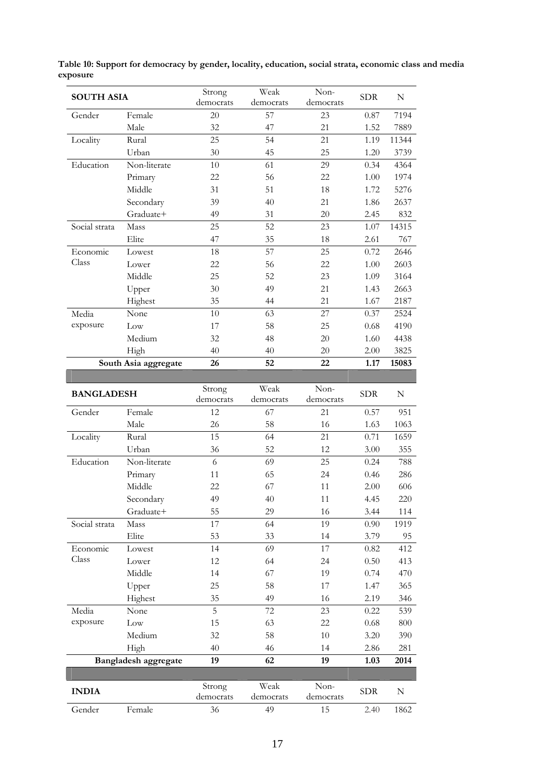| <b>SOUTH ASIA</b> |                      | Strong<br>democrats | Weak<br>democrats | Non-<br>democrats | <b>SDR</b> | $\mathbf N$ |
|-------------------|----------------------|---------------------|-------------------|-------------------|------------|-------------|
| Gender            | Female               | 20                  | 57                | 23                | 0.87       | 7194        |
|                   | Male                 | 32                  | 47                | 21                | 1.52       | 7889        |
| Locality          | Rural                | 25                  | 54                | 21                | 1.19       | 11344       |
|                   | Urban                | 30                  | 45                | 25                | 1.20       | 3739        |
| Education         | Non-literate         | 10                  | 61                | 29                | 0.34       | 4364        |
|                   | Primary              | 22                  | 56                | 22                | 1.00       | 1974        |
|                   | Middle               | 31                  | 51                | 18                | 1.72       | 5276        |
|                   | Secondary            | 39                  | 40                | 21                | 1.86       | 2637        |
|                   | Graduate+            | 49                  | 31                | 20                | 2.45       | 832         |
| Social strata     | Mass                 | 25                  | 52                | 23                | 1.07       | 14315       |
|                   | Elite                | 47                  | 35                | 18                | 2.61       | 767         |
| Economic          | Lowest               | 18                  | 57                | 25                | 0.72       | 2646        |
| Class             | Lower                | 22                  | 56                | 22                | 1.00       | 2603        |
|                   | Middle               | 25                  | 52                | 23                | 1.09       | 3164        |
|                   | Upper                | 30                  | 49                | 21                | 1.43       | 2663        |
|                   | Highest              | 35                  | 44                | 21                | 1.67       | 2187        |
| Media             | None                 | 10                  | 63                | 27                | 0.37       | 2524        |
| exposure          | Low                  | 17                  | 58                | 25                | 0.68       | 4190        |
|                   | Medium               | 32                  | 48                | 20                | 1.60       | 4438        |
|                   | High                 | 40                  | 40                | 20                | 2.00       | 3825        |
|                   | South Asia aggregate | 26                  | 52                | 22                | 1.17       | 15083       |
|                   |                      |                     |                   |                   |            |             |
| <b>BANGLADESH</b> |                      | Strong<br>democrats | Weak<br>democrats | Non-<br>democrats | <b>SDR</b> | N           |
| Gender            | Female               | 12                  | 67                | 21                | 0.57       | 951         |
|                   | Male                 | 26                  | 58                | 16                | 1.63       | 1063        |
| Locality          | Rural                | 15                  | 64                | 21                | 0.71       | 1659        |
|                   | <b>H</b> rban        | 36                  | 52                | 12                | 3.00       | 355         |

**Table 10: Support for democracy by gender, locality, education, social strata, economic class and media exposure** 

| <b>BANGLADESH</b> |                      | Strong<br>democrats | Weak<br>democrats | Non-<br>democrats | <b>SDR</b> | N    |
|-------------------|----------------------|---------------------|-------------------|-------------------|------------|------|
| Gender            | Female               | 12                  | 67                | 21                | 0.57       | 951  |
|                   | Male                 | 26                  | 58                | 16                | 1.63       | 1063 |
| Locality          | Rural                | 15                  | 64                | 21                | 0.71       | 1659 |
|                   | Urban                | 36                  | 52                | 12                | 3.00       | 355  |
| Education         | Non-literate         | 6                   | 69                | 25                | 0.24       | 788  |
|                   | Primary              | 11                  | 65                | 24                | 0.46       | 286  |
|                   | Middle               | 22                  | 67                | 11                | 2.00       | 606  |
|                   | Secondary            | 49                  | 40                | 11                | 4.45       | 220  |
|                   | Graduate+            | 55                  | 29                | 16                | 3.44       | 114  |
| Social strata     | Mass                 | 17                  | 64                | 19                | 0.90       | 1919 |
|                   | Elite                | 53                  | 33                | 14                | 3.79       | 95   |
| Economic          | Lowest               | 14                  | 69                | 17                | 0.82       | 412  |
| Class             | Lower                | 12                  | 64                | 24                | 0.50       | 413  |
|                   | Middle               | 14                  | 67                | 19                | 0.74       | 470  |
|                   | Upper                | 25                  | 58                | 17                | 1.47       | 365  |
|                   | Highest              | 35                  | 49                | 16                | 2.19       | 346  |
| Media             | None                 | 5                   | 72                | 23                | 0.22       | 539  |
| exposure          | Low                  | 15                  | 63                | 22                | 0.68       | 800  |
|                   | Medium               | 32                  | 58                | 10                | 3.20       | 390  |
|                   | High                 | 40                  | 46                | 14                | 2.86       | 281  |
|                   | Bangladesh aggregate | 19                  | 62                | 19                | 1.03       | 2014 |
|                   |                      |                     |                   |                   |            |      |
| <b>INDIA</b>      |                      | Strong<br>democrats | Weak<br>democrats | Non-<br>democrats | <b>SDR</b> | N    |
| Gender            | Female               | 36                  | 49                | 15                | 2.40       | 1862 |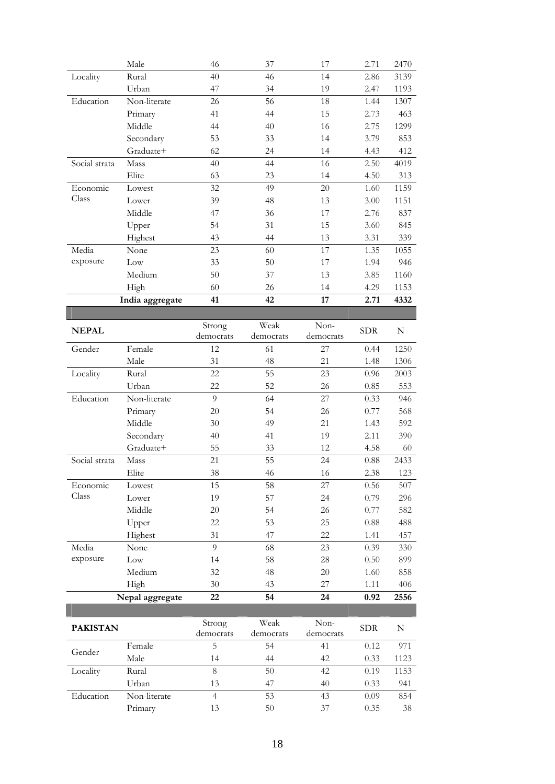|                   | Male            | 46                  | 37                | 17                | 2.71         | 2470       |
|-------------------|-----------------|---------------------|-------------------|-------------------|--------------|------------|
| Locality          | Rural           | 40                  | 46                | 14                | 2.86         | 3139       |
|                   | Urban           | 47                  | 34                | 19                | 2.47         | 1193       |
| Education         | Non-literate    | 26                  | 56                | 18                | 1.44         | 1307       |
|                   | Primary         | 41                  | 44                | 15                | 2.73         | 463        |
|                   | Middle          | 44                  | 40                | 16                | 2.75         | 1299       |
|                   | Secondary       | 53                  | 33                | 14                | 3.79         | 853        |
|                   | Graduate+       | 62                  | 24                | 14                | 4.43         | 412        |
| Social strata     | Mass            | 40                  | 44                | 16                | 2.50         | 4019       |
|                   | Elite           | 63                  | 23                | 14                | 4.50         | 313        |
| Economic          | Lowest          | 32                  | 49                | 20                | 1.60         | 1159       |
| Class             | Lower           | 39                  | 48                | 13                | 3.00         | 1151       |
|                   | Middle          | 47                  | 36                | 17                | 2.76         | 837        |
|                   | Upper           | 54                  | 31                | 15                | 3.60         | 845        |
|                   | Highest         | 43                  | 44                | 13                | 3.31         | 339        |
| Media             | None            | 23                  | 60                | 17                | 1.35         | 1055       |
| exposure          | Low             | 33                  | 50                | 17                | 1.94         | 946        |
|                   | Medium          | 50                  | 37                | 13                | 3.85         | 1160       |
|                   | High            | 60                  | 26                | 14                | 4.29         | 1153       |
|                   | India aggregate | 41                  | 42                | 17                | 2.71         | 4332       |
|                   |                 |                     |                   |                   |              |            |
| <b>NEPAL</b>      |                 | Strong              | Weak              | Non-              | ${\rm SDR}$  | N          |
|                   |                 | democrats           | democrats         | democrats         |              |            |
| Gender            | Female          | 12                  | 61                | 27                | 0.44         | 1250       |
|                   | Male            | 31                  | 48                | 21                | 1.48         | 1306       |
| Locality          | Rural           | 22                  | 55                | 23                | 0.96         | 2003       |
|                   | Urban           | 22                  | 52                | 26                | 0.85         | 553        |
| Education         | Non-literate    | 9                   | 64                | 27                | 0.33         | 946        |
|                   | Primary         | 20                  | 54                | 26                | 0.77         | 568        |
|                   | Middle          | 30                  | 49                | 21                | 1.43         | 592        |
|                   | Secondary       | 40                  | 41                | 19                | 2.11         | 390        |
|                   | Graduate+       | 55                  | 33                | 12                | 4.58         | 60         |
| Social strata     | Mass            | 21                  | 55                | 24                | 0.88         | 2433       |
|                   | Elite           | 38                  | 46                | 16                | 2.38         | 123        |
| Economic<br>Class | Lowest          | 15                  | 58                | 27                | 0.56         | 507        |
|                   | Lower           | 19                  | 57                | 24                | 0.79         | 296        |
|                   | Middle          | $20\,$              | 54                | 26                | 0.77         | 582        |
|                   | Upper           | 22<br>31            | 53<br>47          | 25<br>22          | 0.88         | 488<br>457 |
| Media             | Highest         | 9                   | 68                | 23                | 1.41         | 330        |
| exposure          | None<br>Low     | 14                  | 58                | 28                | 0.39<br>0.50 | 899        |
|                   |                 |                     |                   |                   |              |            |
|                   |                 |                     |                   |                   |              |            |
|                   | Medium          | 32                  | 48                | 20                | 1.60         | 858        |
|                   | High            | $30\,$              | 43                | 27                | 1.11         | 406        |
|                   | Nepal aggregate | 22                  | 54                | 24                | 0.92         | 2556       |
|                   |                 |                     |                   |                   |              |            |
| <b>PAKISTAN</b>   |                 | Strong<br>democrats | Weak<br>democrats | Non-<br>democrats | <b>SDR</b>   | N          |
|                   | Female          | 5                   | 54                | 41                | 0.12         | 971        |
| Gender            | Male            | 14                  | 44                | 42                | 0.33         | 1123       |
| Locality          | Rural           | 8                   | 50                | 42                | 0.19         | 1153       |
|                   | Urban           | 13                  | 47                | 40                | 0.33         | 941        |
| Education         | Non-literate    | $\overline{4}$      | 53                | 43                | 0.09         | 854        |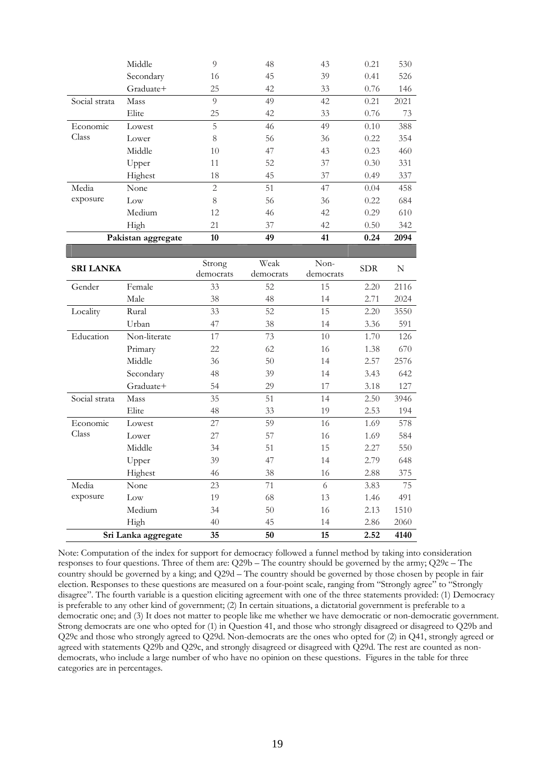|               | Middle             | 9  | 48 | 43 | 0.21 | 530  |
|---------------|--------------------|----|----|----|------|------|
|               | Secondary          | 16 | 45 | 39 | 0.41 | 526  |
|               | Graduate+          | 25 | 42 | 33 | 0.76 | 146  |
| Social strata | Mass               | 9  | 49 | 42 | 0.21 | 2021 |
|               | Elite              | 25 | 42 | 33 | 0.76 | 73   |
| Economic      | Lowest             | 5  | 46 | 49 | 0.10 | 388  |
| Class         | Lower              | 8  | 56 | 36 | 0.22 | 354  |
|               | Middle             | 10 | 47 | 43 | 0.23 | 460  |
|               | Upper              | 11 | 52 | 37 | 0.30 | 331  |
|               | Highest            | 18 | 45 | 37 | 0.49 | 337  |
| Media         | None               | 2  | 51 | 47 | 0.04 | 458  |
| exposure      | Low                | 8  | 56 | 36 | 0.22 | 684  |
|               | Medium             | 12 | 46 | 42 | 0.29 | 610  |
|               | High               | 21 | 37 | 42 | 0.50 | 342  |
|               | Pakistan aggregate | 10 | 49 | 41 | 0.24 | 2094 |

| <b>SRI LANKA</b> |                     | Strong<br>democrats | Weak<br>democrats | $Non-$<br>democrats | <b>SDR</b> | N    |
|------------------|---------------------|---------------------|-------------------|---------------------|------------|------|
| Gender           | Female              | 33                  | 52                | 15                  | 2.20       | 2116 |
|                  | Male                | 38                  | 48                | 14                  | 2.71       | 2024 |
| Locality         | Rural               | 33                  | 52                | 15                  | 2.20       | 3550 |
|                  | Urban               | 47                  | 38                | 14                  | 3.36       | 591  |
| Education        | Non-literate        | 17                  | 73                | 10                  | 1.70       | 126  |
|                  | Primary             | 22                  | 62                | 16                  | 1.38       | 670  |
|                  | Middle              | 36                  | 50                | 14                  | 2.57       | 2576 |
|                  | Secondary           | 48                  | 39                | 14                  | 3.43       | 642  |
|                  | Graduate+           | 54                  | 29                | 17                  | 3.18       | 127  |
| Social strata    | Mass                | 35                  | 51                | 14                  | 2.50       | 3946 |
|                  | Elite               | 48                  | 33                | 19                  | 2.53       | 194  |
| Economic         | Lowest              | 27                  | 59                | 16                  | 1.69       | 578  |
| Class            | Lower               | 27                  | 57                | 16                  | 1.69       | 584  |
|                  | Middle              | 34                  | 51                | 15                  | 2.27       | 550  |
|                  | Upper               | 39                  | 47                | 14                  | 2.79       | 648  |
|                  | Highest             | 46                  | 38                | 16                  | 2.88       | 375  |
| Media            | None                | 23                  | 71                | 6                   | 3.83       | 75   |
| exposure         | Low                 | 19                  | 68                | 13                  | 1.46       | 491  |
|                  | Medium              | 34                  | 50                | 16                  | 2.13       | 1510 |
|                  | High                | 40                  | 45                | 14                  | 2.86       | 2060 |
|                  | Sri Lanka aggregate | 35                  | 50                | 15                  | 2.52       | 4140 |

Note: Computation of the index for support for democracy followed a funnel method by taking into consideration responses to four questions. Three of them are: Q29b – The country should be governed by the army; Q29c – The country should be governed by a king; and Q29d – The country should be governed by those chosen by people in fair election. Responses to these questions are measured on a four-point scale, ranging from "Strongly agree" to "Strongly disagree". The fourth variable is a question eliciting agreement with one of the three statements provided: (1) Democracy is preferable to any other kind of government; (2) In certain situations, a dictatorial government is preferable to a democratic one; and (3) It does not matter to people like me whether we have democratic or non-democratic government. Strong democrats are one who opted for (1) in Question 41, and those who strongly disagreed or disagreed to Q29b and Q29c and those who strongly agreed to Q29d. Non-democrats are the ones who opted for (2) in Q41, strongly agreed or agreed with statements Q29b and Q29c, and strongly disagreed or disagreed with Q29d. The rest are counted as nondemocrats, who include a large number of who have no opinion on these questions. Figures in the table for three categories are in percentages.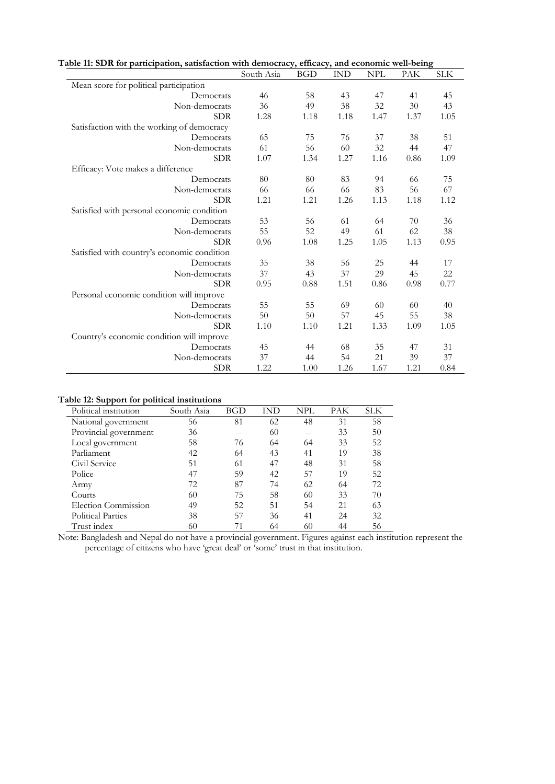| Table 11: SDR for participation, satisfaction with democracy, efficacy, and economic well-being |            |            |            |            |      |            |
|-------------------------------------------------------------------------------------------------|------------|------------|------------|------------|------|------------|
|                                                                                                 | South Asia | <b>BGD</b> | <b>IND</b> | <b>NPL</b> | PAK  | <b>SLK</b> |
| Mean score for political participation                                                          |            |            |            |            |      |            |
| Democrats                                                                                       | 46         | 58         | 43         | 47         | 41   | 45         |
| Non-democrats                                                                                   | 36         | 49         | 38         | 32         | 30   | 43         |
| <b>SDR</b>                                                                                      | 1.28       | 1.18       | 1.18       | 1.47       | 1.37 | 1.05       |
| Satisfaction with the working of democracy                                                      |            |            |            |            |      |            |
| Democrats                                                                                       | 65         | 75         | 76         | 37         | 38   | 51         |
| Non-democrats                                                                                   | 61         | 56         | 60         | 32         | 44   | 47         |
| <b>SDR</b>                                                                                      | 1.07       | 1.34       | 1.27       | 1.16       | 0.86 | 1.09       |
| Efficacy: Vote makes a difference                                                               |            |            |            |            |      |            |
| Democrats                                                                                       | 80         | 80         | 83         | 94         | 66   | 75         |
| Non-democrats                                                                                   | 66         | 66         | 66         | 83         | 56   | 67         |
| <b>SDR</b>                                                                                      | 1.21       | 1.21       | 1.26       | 1.13       | 1.18 | 1.12       |
| Satisfied with personal economic condition                                                      |            |            |            |            |      |            |
| Democrats                                                                                       | 53         | 56         | 61         | 64         | 70   | 36         |
| Non-democrats                                                                                   | 55         | 52         | 49         | 61         | 62   | 38         |
| <b>SDR</b>                                                                                      | 0.96       | 1.08       | 1.25       | 1.05       | 1.13 | 0.95       |
| Satisfied with country's economic condition                                                     |            |            |            |            |      |            |
| Democrats                                                                                       | 35         | 38         | 56         | 25         | 44   | 17         |
| Non-democrats                                                                                   | 37         | 43         | 37         | 29         | 45   | 22         |
| <b>SDR</b>                                                                                      | 0.95       | 0.88       | 1.51       | 0.86       | 0.98 | 0.77       |
| Personal economic condition will improve                                                        |            |            |            |            |      |            |
| Democrats                                                                                       | 55         | 55         | 69         | 60         | 60   | 40         |
| Non-democrats                                                                                   | 50         | 50         | 57         | 45         | 55   | 38         |
| <b>SDR</b>                                                                                      | 1.10       | 1.10       | 1.21       | 1.33       | 1.09 | 1.05       |
| Country's economic condition will improve                                                       |            |            |            |            |      |            |
| Democrats                                                                                       | 45         | 44         | 68         | 35         | 47   | 31         |
| Non-democrats                                                                                   | 37         | 44         | 54         | 21         | 39   | 37         |
| <b>SDR</b>                                                                                      | 1.22       | 1.00       | 1.26       | 1.67       | 1.21 | 0.84       |

#### **Table 12: Support for political institutions**

| Political institution    | South Asia | BGD | IND | NPL | PAK | SLK |
|--------------------------|------------|-----|-----|-----|-----|-----|
| National government      | 56         | 81  | 62  | 48  | 31  | 58  |
| Provincial government    | 36         |     | 60  |     | 33  | 50  |
| Local government         | 58         | 76  | 64  | 64  | 33  | 52  |
| Parliament               | 42         | 64  | 43  | 41  | 19  | 38  |
| Civil Service            | 51         | 61  | 47  | 48  | 31  | 58  |
| Police                   | 47         | 59  | 42  | 57  | 19  | 52  |
| Army                     | 72         | 87  | 74  | 62  | 64  | 72  |
| Courts                   | 60         | 75  | 58  | 60  | 33  | 70  |
| Election Commission      | 49         | 52  | 51  | 54  | 21  | 63  |
| <b>Political Parties</b> | 38         | 57  | 36  | 41  | 24  | 32  |
| Trust index              | 60         | 71  | 64  | 60  | 44  | 56  |

Note: Bangladesh and Nepal do not have a provincial government. Figures against each institution represent the percentage of citizens who have 'great deal' or 'some' trust in that institution.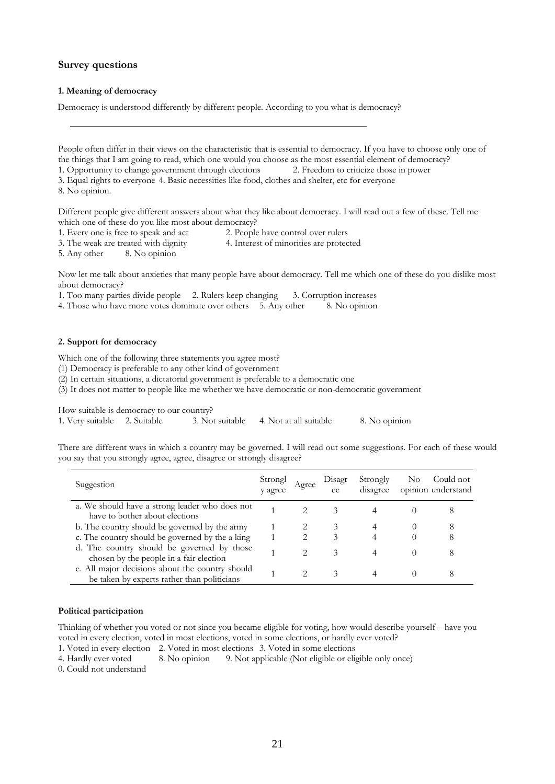### **Survey questions**

#### **1. Meaning of democracy**

Democracy is understood differently by different people. According to you what is democracy?

People often differ in their views on the characteristic that is essential to democracy. If you have to choose only one of the things that I am going to read, which one would you choose as the most essential element of democracy? 1. Opportunity to change government through elections 2. Freedom to criticize those in power 3. Equal rights to everyone 4. Basic necessities like food, clothes and shelter, etc for everyone

8. No opinion.

Different people give different answers about what they like about democracy. I will read out a few of these. Tell me which one of these do you like most about democracy?

1. Every one is free to speak and act 2. People have control over rulers

3. The weak are treated with dignity 4. Interest of minorities are protected

5. Any other 8. No opinion

Now let me talk about anxieties that many people have about democracy. Tell me which one of these do you dislike most about democracy?

1. Too many parties divide people 2. Rulers keep changing 3. Corruption increases

4. Those who have more votes dominate over others 5. Any other 8. No opinion

#### **2. Support for democracy**

Which one of the following three statements you agree most?

(1) Democracy is preferable to any other kind of government

(2) In certain situations, a dictatorial government is preferable to a democratic one

(3) It does not matter to people like me whether we have democratic or non-democratic government

How suitable is democracy to our country?

1. Very suitable 2. Suitable 3. Not suitable 4. Not at all suitable 8. No opinion

There are different ways in which a country may be governed. I will read out some suggestions. For each of these would you say that you strongly agree, agree, disagree or strongly disagree?

| Suggestion                                                                                     | Strongl<br>y agree | Agree | Disagr<br>ee | Strongly<br>disagree | No. | Could not<br>opinion understand |
|------------------------------------------------------------------------------------------------|--------------------|-------|--------------|----------------------|-----|---------------------------------|
| a. We should have a strong leader who does not<br>have to bother about elections               |                    |       |              |                      |     |                                 |
| b. The country should be governed by the army                                                  |                    |       | 3            |                      |     |                                 |
| c. The country should be governed by the a king                                                |                    |       |              |                      |     |                                 |
| d. The country should be governed by those<br>chosen by the people in a fair election          |                    |       | 3            | 4                    |     |                                 |
| e. All major decisions about the country should<br>be taken by experts rather than politicians |                    |       | 3            |                      |     |                                 |

#### **Political participation**

Thinking of whether you voted or not since you became eligible for voting, how would describe yourself – have you voted in every election, voted in most elections, voted in some elections, or hardly ever voted?

1. Voted in every election 2. Voted in most elections 3. Voted in some elections

4. Hardly ever voted 8. No opinion 9. Not applicable (Not eligible or eligible only once)

0. Could not understand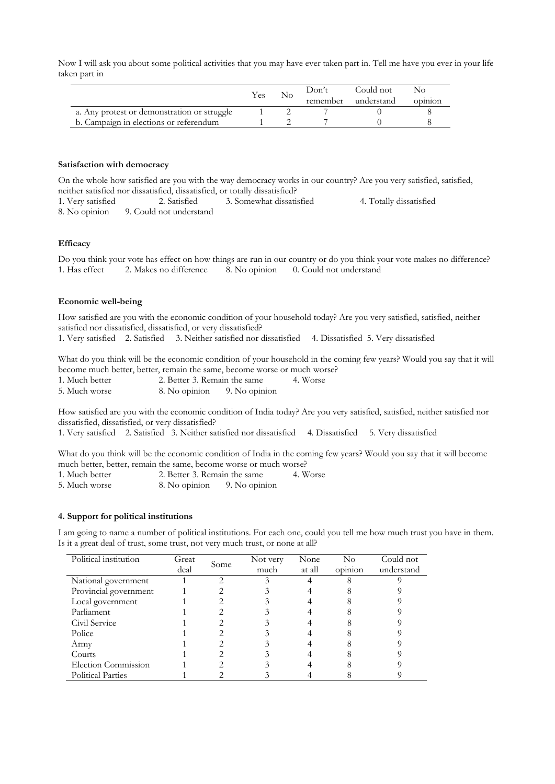Now I will ask you about some political activities that you may have ever taken part in. Tell me have you ever in your life taken part in

|                                             | Yes | Don't    | Could not  | NO      |
|---------------------------------------------|-----|----------|------------|---------|
|                                             |     | remember | understand | opinion |
| a. Any protest or demonstration or struggle |     |          |            |         |
| b. Campaign in elections or referendum      |     |          |            |         |

#### **Satisfaction with democracy**

On the whole how satisfied are you with the way democracy works in our country? Are you very satisfied, satisfied, neither satisfied nor dissatisfied, dissatisfied, or totally dissatisfied? 1. Very satisfied 2. Satisfied 3. Somewhat dissatisfied 4. Totally dissatisfied

8. No opinion 9. Could not understand

#### **Efficacy**

Do you think your vote has effect on how things are run in our country or do you think your vote makes no difference? 1. Has effect 2. Makes no difference 8. No opinion 0. Could not understand

#### **Economic well-being**

How satisfied are you with the economic condition of your household today? Are you very satisfied, satisfied, neither satisfied nor dissatisfied, dissatisfied, or very dissatisfied?

1. Very satisfied 2. Satisfied 3. Neither satisfied nor dissatisfied 4. Dissatisfied 5. Very dissatisfied

What do you think will be the economic condition of your household in the coming few years? Would you say that it will become much better, better, remain the same, become worse or much worse?

| 1. Much better | 2. Better 3. Remain the same |               | 4. Worse |
|----------------|------------------------------|---------------|----------|
| 5. Much worse  | 8. No opinion                | 9. No opinion |          |

How satisfied are you with the economic condition of India today? Are you very satisfied, satisfied, neither satisfied nor dissatisfied, dissatisfied, or very dissatisfied?

1. Very satisfied 2. Satisfied 3. Neither satisfied nor dissatisfied 4. Dissatisfied 5. Very dissatisfied

What do you think will be the economic condition of India in the coming few years? Would you say that it will become much better, better, remain the same, become worse or much worse?

- 1. Much better 2. Better 3. Remain the same 4. Worse
- 5. Much worse 8. No opinion 9. No opinion

#### **4. Support for political institutions**

I am going to name a number of political institutions. For each one, could you tell me how much trust you have in them. Is it a great deal of trust, some trust, not very much trust, or none at all?

| Political institution    | Great | Some | Not very | None   | $\rm No$ | Could not  |
|--------------------------|-------|------|----------|--------|----------|------------|
|                          | deal  |      | much     | at all | opinion  | understand |
| National government      |       |      |          |        |          |            |
| Provincial government    |       |      |          |        |          |            |
| Local government         |       |      |          |        |          |            |
| Parliament               |       |      |          |        |          |            |
| Civil Service            |       |      |          |        |          |            |
| Police                   |       |      |          |        |          |            |
| Army                     |       |      |          |        |          |            |
| Courts                   |       |      |          |        |          |            |
| Election Commission      |       |      |          |        |          |            |
| <b>Political Parties</b> |       |      |          |        |          |            |